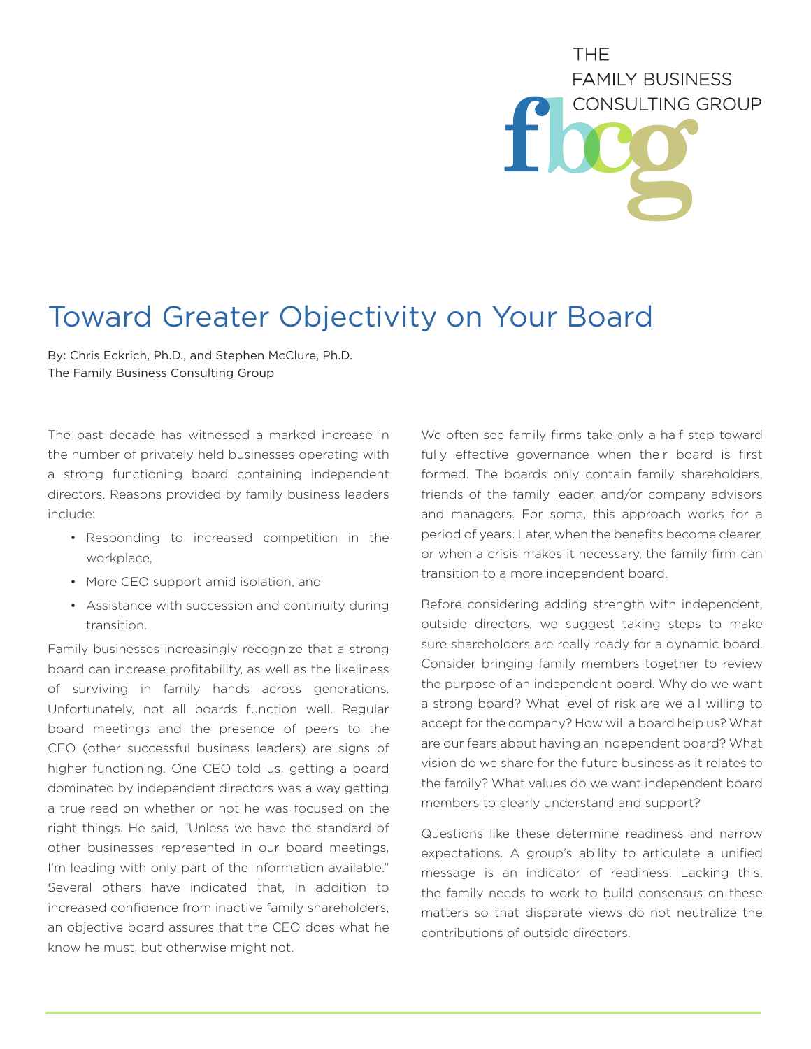## THE. **FAMILY BUSINESS CONSULTING GROUP**

## Toward Greater Objectivity on Your Board

By: Chris Eckrich, Ph.D., and Stephen McClure, Ph.D. The Family Business Consulting Group

The past decade has witnessed a marked increase in the number of privately held businesses operating with a strong functioning board containing independent directors. Reasons provided by family business leaders include:

- Responding to increased competition in the workplace,
- More CEO support amid isolation, and
- Assistance with succession and continuity during transition.

Family businesses increasingly recognize that a strong board can increase profitability, as well as the likeliness of surviving in family hands across generations. Unfortunately, not all boards function well. Regular board meetings and the presence of peers to the CEO (other successful business leaders) are signs of higher functioning. One CEO told us, getting a board dominated by independent directors was a way getting a true read on whether or not he was focused on the right things. He said, "Unless we have the standard of other businesses represented in our board meetings, I'm leading with only part of the information available." Several others have indicated that, in addition to increased confidence from inactive family shareholders, an objective board assures that the CEO does what he know he must, but otherwise might not.

We often see family firms take only a half step toward fully effective governance when their board is first formed. The boards only contain family shareholders, friends of the family leader, and/or company advisors and managers. For some, this approach works for a period of years. Later, when the benefits become clearer, or when a crisis makes it necessary, the family firm can transition to a more independent board.

Before considering adding strength with independent, outside directors, we suggest taking steps to make sure shareholders are really ready for a dynamic board. Consider bringing family members together to review the purpose of an independent board. Why do we want a strong board? What level of risk are we all willing to accept for the company? How will a board help us? What are our fears about having an independent board? What vision do we share for the future business as it relates to the family? What values do we want independent board members to clearly understand and support?

Questions like these determine readiness and narrow expectations. A group's ability to articulate a unified message is an indicator of readiness. Lacking this, the family needs to work to build consensus on these matters so that disparate views do not neutralize the contributions of outside directors.